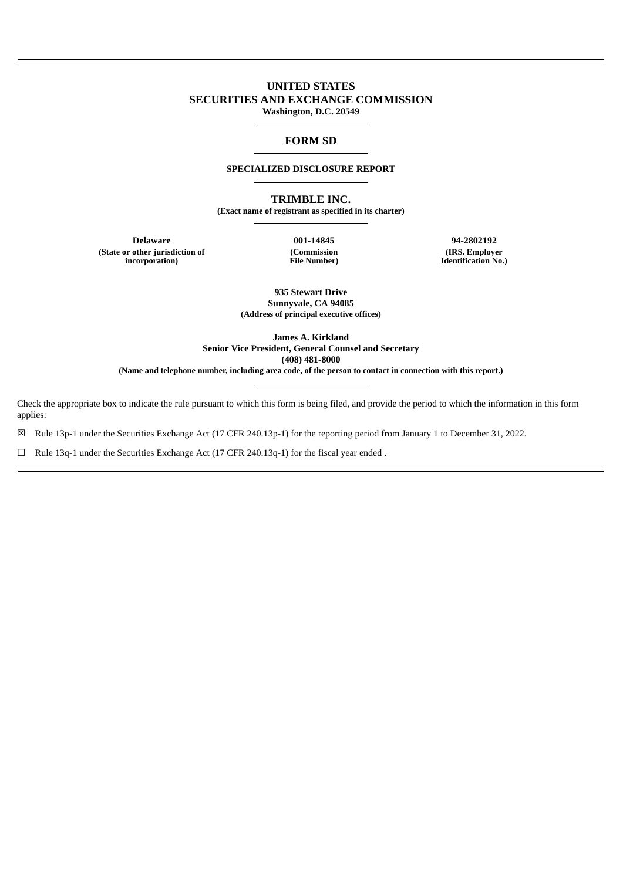## **UNITED STATES SECURITIES AND EXCHANGE COMMISSION Washington, D.C. 20549**

## **FORM SD**

#### **SPECIALIZED DISCLOSURE REPORT**

**TRIMBLE INC.**

**(Exact name of registrant as specified in its charter)**

**Delaware 001-14845 94-2802192 (State or other jurisdiction of incorporation)**

**(Commission File Number)**

**(IRS. Employer Identification No.)**

**935 Stewart Drive Sunnyvale, CA 94085 (Address of principal executive offices)**

**James A. Kirkland Senior Vice President, General Counsel and Secretary (408) 481-8000 (Name and telephone number, including area code, of the person to contact in connection with this report.)**

Check the appropriate box to indicate the rule pursuant to which this form is being filed, and provide the period to which the information in this form applies:

☒ Rule 13p-1 under the Securities Exchange Act (17 CFR 240.13p-1) for the reporting period from January 1 to December 31, 2022.

☐ Rule 13q-1 under the Securities Exchange Act (17 CFR 240.13q-1) for the fiscal year ended .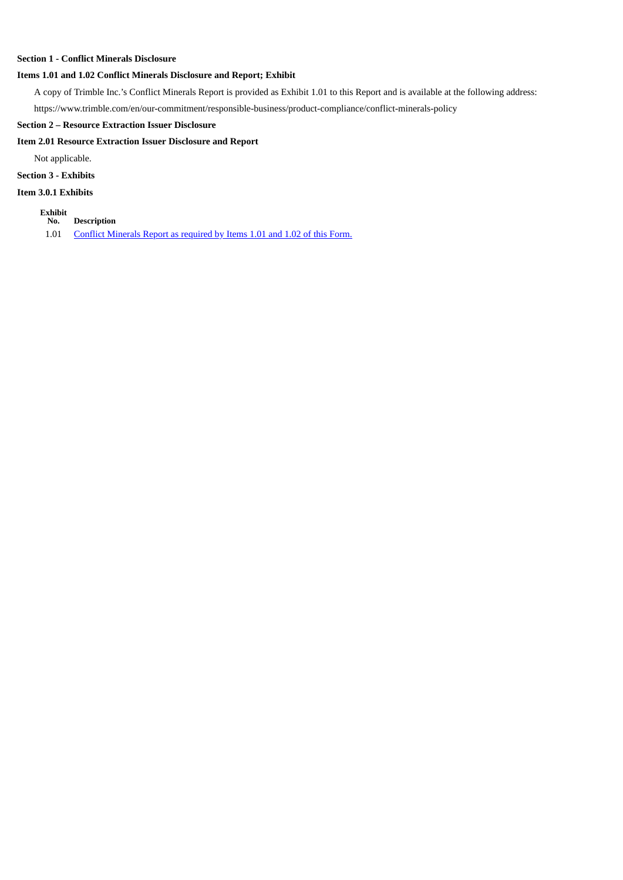#### **Section 1 - Conflict Minerals Disclosure**

#### **Items 1.01 and 1.02 Conflict Minerals Disclosure and Report; Exhibit**

A copy of Trimble Inc.'s Conflict Minerals Report is provided as Exhibit 1.01 to this Report and is available at the following address:

https://www.trimble.com/en/our-commitment/responsible-business/product-compliance/conflict-minerals-policy

#### **Section 2 – Resource Extraction Issuer Disclosure**

## **Item 2.01 Resource Extraction Issuer Disclosure and Report**

Not applicable.

## **Section 3 - Exhibits**

#### **Item 3.0.1 Exhibits**

- **Exhibit**
- **No. Description** 1.01 Conflict [Minerals](#page-3-0) Report as required by Items 1.01 and 1.02 of this Form.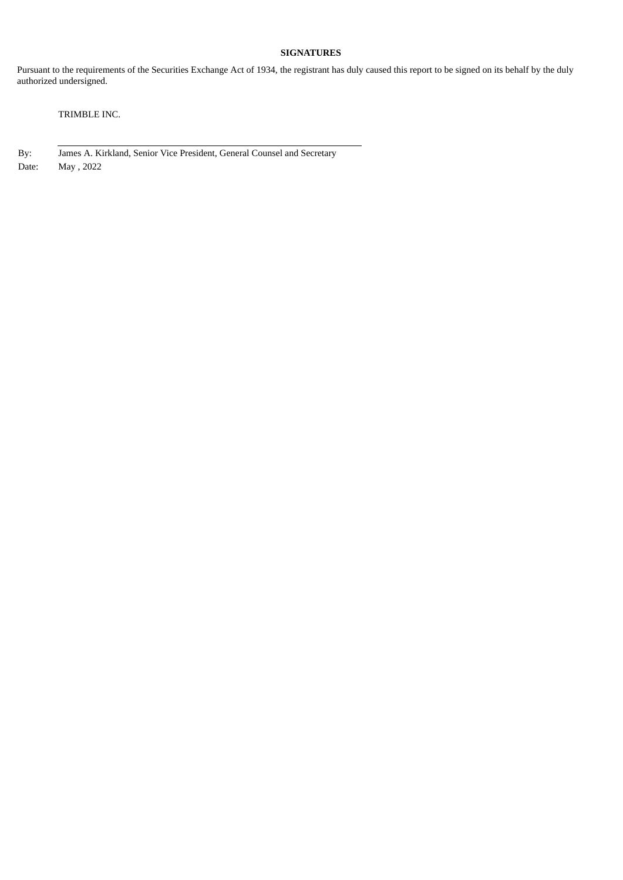## **SIGNATURES**

Pursuant to the requirements of the Securities Exchange Act of 1934, the registrant has duly caused this report to be signed on its behalf by the duly authorized undersigned.

TRIMBLE INC.

By: James A. Kirkland, Senior Vice President, General Counsel and Secretary Date: May , 2022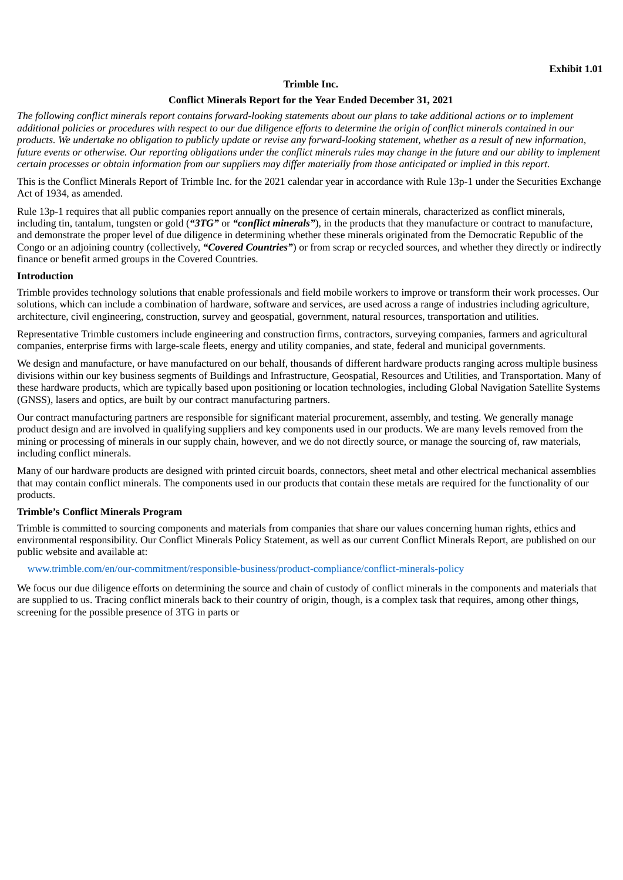#### **Trimble Inc.**

#### **Conflict Minerals Report for the Year Ended December 31, 2021**

<span id="page-3-0"></span>The following conflict minerals report contains forward-looking statements about our plans to take additional actions or to implement additional policies or procedures with respect to our due diligence efforts to determine the origin of conflict minerals contained in our products. We undertake no obligation to publicly update or revise any forward-looking statement, whether as a result of new information, future events or otherwise. Our reporting obligations under the conflict minerals rules may change in the future and our ability to implement certain processes or obtain information from our suppliers may differ materially from those anticipated or implied in this report.

This is the Conflict Minerals Report of Trimble Inc. for the 2021 calendar year in accordance with Rule 13p-1 under the Securities Exchange Act of 1934, as amended.

Rule 13p-1 requires that all public companies report annually on the presence of certain minerals, characterized as conflict minerals, including tin, tantalum, tungsten or gold (*"3TG"* or *"conflict minerals"*), in the products that they manufacture or contract to manufacture, and demonstrate the proper level of due diligence in determining whether these minerals originated from the Democratic Republic of the Congo or an adjoining country (collectively, *"Covered Countries"*) or from scrap or recycled sources, and whether they directly or indirectly finance or benefit armed groups in the Covered Countries.

#### **Introduction**

Trimble provides technology solutions that enable professionals and field mobile workers to improve or transform their work processes. Our solutions, which can include a combination of hardware, software and services, are used across a range of industries including agriculture, architecture, civil engineering, construction, survey and geospatial, government, natural resources, transportation and utilities.

Representative Trimble customers include engineering and construction firms, contractors, surveying companies, farmers and agricultural companies, enterprise firms with large-scale fleets, energy and utility companies, and state, federal and municipal governments.

We design and manufacture, or have manufactured on our behalf, thousands of different hardware products ranging across multiple business divisions within our key business segments of Buildings and Infrastructure, Geospatial, Resources and Utilities, and Transportation. Many of these hardware products, which are typically based upon positioning or location technologies, including Global Navigation Satellite Systems (GNSS), lasers and optics, are built by our contract manufacturing partners.

Our contract manufacturing partners are responsible for significant material procurement, assembly, and testing. We generally manage product design and are involved in qualifying suppliers and key components used in our products. We are many levels removed from the mining or processing of minerals in our supply chain, however, and we do not directly source, or manage the sourcing of, raw materials, including conflict minerals.

Many of our hardware products are designed with printed circuit boards, connectors, sheet metal and other electrical mechanical assemblies that may contain conflict minerals. The components used in our products that contain these metals are required for the functionality of our products.

## **Trimble's Conflict Minerals Program**

Trimble is committed to sourcing components and materials from companies that share our values concerning human rights, ethics and environmental responsibility. Our Conflict Minerals Policy Statement, as well as our current Conflict Minerals Report, are published on our public website and available at:

#### www.trimble.com/en/our-commitment/responsible-business/product-compliance/conflict-minerals-policy

We focus our due diligence efforts on determining the source and chain of custody of conflict minerals in the components and materials that are supplied to us. Tracing conflict minerals back to their country of origin, though, is a complex task that requires, among other things, screening for the possible presence of 3TG in parts or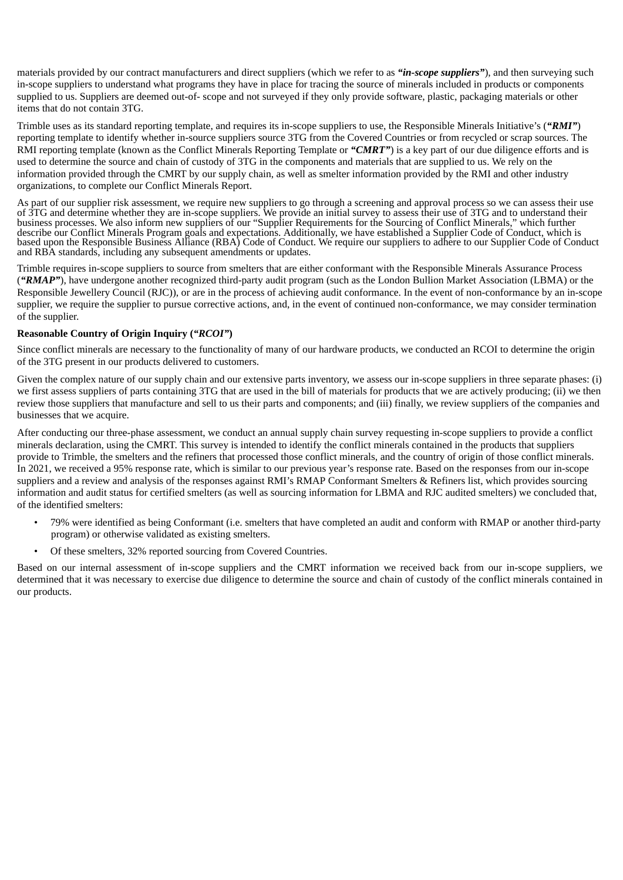materials provided by our contract manufacturers and direct suppliers (which we refer to as *"in-scope suppliers"*), and then surveying such in-scope suppliers to understand what programs they have in place for tracing the source of minerals included in products or components supplied to us. Suppliers are deemed out-of- scope and not surveyed if they only provide software, plastic, packaging materials or other items that do not contain 3TG.

Trimble uses as its standard reporting template, and requires its in-scope suppliers to use, the Responsible Minerals Initiative's (*"RMI"*) reporting template to identify whether in-source suppliers source 3TG from the Covered Countries or from recycled or scrap sources. The RMI reporting template (known as the Conflict Minerals Reporting Template or *"CMRT"*) is a key part of our due diligence efforts and is used to determine the source and chain of custody of 3TG in the components and materials that are supplied to us. We rely on the information provided through the CMRT by our supply chain, as well as smelter information provided by the RMI and other industry organizations, to complete our Conflict Minerals Report.

As part of our supplier risk assessment, we require new suppliers to go through a screening and approval process so we can assess their use of 3TG and determine whether they are in-scope suppliers. We provide an initial survey to assess their use of 3TG and to understand their business processes. We also inform new suppliers of our "Supplier Requirements for the Sourcing of Conflict Minerals," which further describe our Conflict Minerals Program goals and expectations. Additionally, we have established a Supplier Code of Conduct, which is based upon the Responsible Business Alliance (RBA) Code of Conduct. We require our suppliers to adhere to our Supplier Code of Conduct and RBA standards, including any subsequent amendments or updates.

Trimble requires in-scope suppliers to source from smelters that are either conformant with the Responsible Minerals Assurance Process (*"RMAP"*), have undergone another recognized third-party audit program (such as the London Bullion Market Association (LBMA) or the Responsible Jewellery Council (RJC)), or are in the process of achieving audit conformance. In the event of non-conformance by an in-scope supplier, we require the supplier to pursue corrective actions, and, in the event of continued non-conformance, we may consider termination of the supplier.

## **Reasonable Country of Origin Inquiry (***"RCOI"***)**

Since conflict minerals are necessary to the functionality of many of our hardware products, we conducted an RCOI to determine the origin of the 3TG present in our products delivered to customers.

Given the complex nature of our supply chain and our extensive parts inventory, we assess our in-scope suppliers in three separate phases: (i) we first assess suppliers of parts containing 3TG that are used in the bill of materials for products that we are actively producing; (ii) we then review those suppliers that manufacture and sell to us their parts and components; and (iii) finally, we review suppliers of the companies and businesses that we acquire.

After conducting our three-phase assessment, we conduct an annual supply chain survey requesting in-scope suppliers to provide a conflict minerals declaration, using the CMRT. This survey is intended to identify the conflict minerals contained in the products that suppliers provide to Trimble, the smelters and the refiners that processed those conflict minerals, and the country of origin of those conflict minerals. In 2021, we received a 95% response rate, which is similar to our previous year's response rate. Based on the responses from our in-scope suppliers and a review and analysis of the responses against RMI's RMAP Conformant Smelters & Refiners list, which provides sourcing information and audit status for certified smelters (as well as sourcing information for LBMA and RJC audited smelters) we concluded that, of the identified smelters:

- 79% were identified as being Conformant (i.e. smelters that have completed an audit and conform with RMAP or another third-party program) or otherwise validated as existing smelters.
- Of these smelters, 32% reported sourcing from Covered Countries.

Based on our internal assessment of in-scope suppliers and the CMRT information we received back from our in-scope suppliers, we determined that it was necessary to exercise due diligence to determine the source and chain of custody of the conflict minerals contained in our products.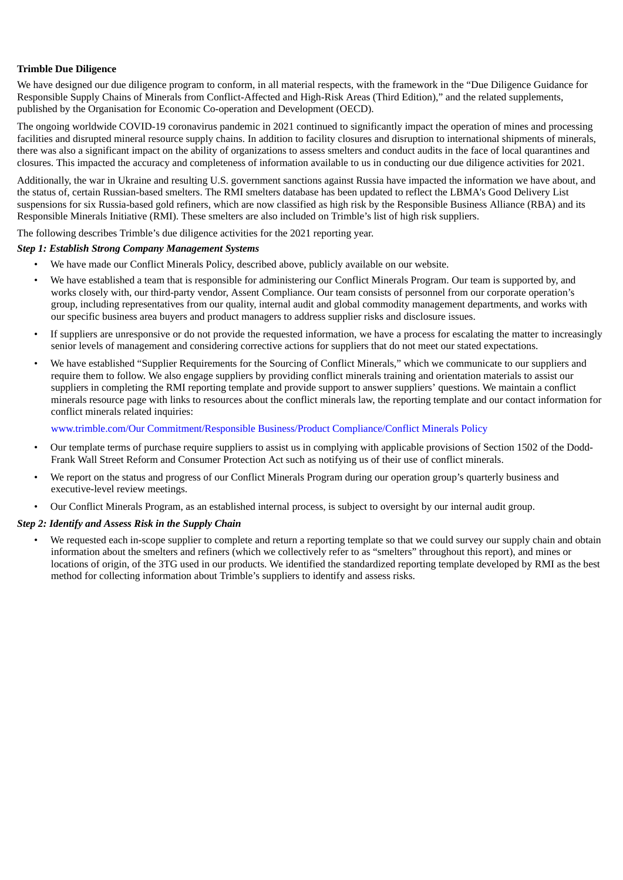## **Trimble Due Diligence**

We have designed our due diligence program to conform, in all material respects, with the framework in the "Due Diligence Guidance for Responsible Supply Chains of Minerals from Conflict-Affected and High-Risk Areas (Third Edition)," and the related supplements, published by the Organisation for Economic Co-operation and Development (OECD).

The ongoing worldwide COVID-19 coronavirus pandemic in 2021 continued to significantly impact the operation of mines and processing facilities and disrupted mineral resource supply chains. In addition to facility closures and disruption to international shipments of minerals, there was also a significant impact on the ability of organizations to assess smelters and conduct audits in the face of local quarantines and closures. This impacted the accuracy and completeness of information available to us in conducting our due diligence activities for 2021.

Additionally, the war in Ukraine and resulting U.S. government sanctions against Russia have impacted the information we have about, and the status of, certain Russian-based smelters. The RMI smelters database has been updated to reflect the LBMA's Good Delivery List suspensions for six Russia-based gold refiners, which are now classified as high risk by the Responsible Business Alliance (RBA) and its Responsible Minerals Initiative (RMI). These smelters are also included on Trimble's list of high risk suppliers.

The following describes Trimble's due diligence activities for the 2021 reporting year.

## *Step 1: Establish Strong Company Management Systems*

- We have made our Conflict Minerals Policy, described above, publicly available on our website.
- We have established a team that is responsible for administering our Conflict Minerals Program. Our team is supported by, and works closely with, our third-party vendor, Assent Compliance. Our team consists of personnel from our corporate operation's group, including representatives from our quality, internal audit and global commodity management departments, and works with our specific business area buyers and product managers to address supplier risks and disclosure issues.
- If suppliers are unresponsive or do not provide the requested information, we have a process for escalating the matter to increasingly senior levels of management and considering corrective actions for suppliers that do not meet our stated expectations.
- We have established "Supplier Requirements for the Sourcing of Conflict Minerals," which we communicate to our suppliers and require them to follow. We also engage suppliers by providing conflict minerals training and orientation materials to assist our suppliers in completing the RMI reporting template and provide support to answer suppliers' questions. We maintain a conflict minerals resource page with links to resources about the conflict minerals law, the reporting template and our contact information for conflict minerals related inquiries:

## www.trimble.com/Our Commitment/Responsible Business/Product Compliance/Conflict Minerals Policy

- Our template terms of purchase require suppliers to assist us in complying with applicable provisions of Section 1502 of the Dodd-Frank Wall Street Reform and Consumer Protection Act such as notifying us of their use of conflict minerals.
- We report on the status and progress of our Conflict Minerals Program during our operation group's quarterly business and executive-level review meetings.
- Our Conflict Minerals Program, as an established internal process, is subject to oversight by our internal audit group.

## *Step 2: Identify and Assess Risk in the Supply Chain*

• We requested each in-scope supplier to complete and return a reporting template so that we could survey our supply chain and obtain information about the smelters and refiners (which we collectively refer to as "smelters" throughout this report), and mines or locations of origin, of the 3TG used in our products. We identified the standardized reporting template developed by RMI as the best method for collecting information about Trimble's suppliers to identify and assess risks.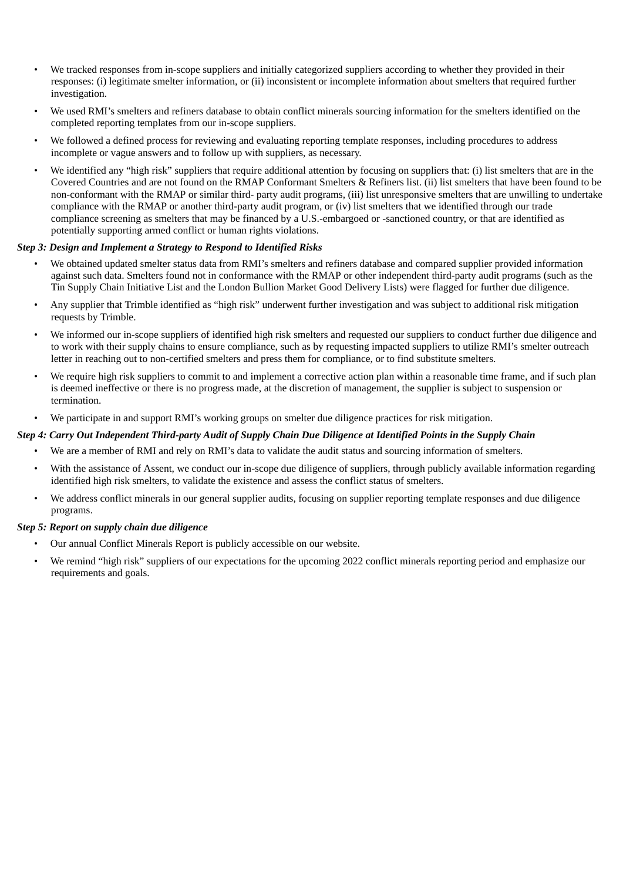- We tracked responses from in-scope suppliers and initially categorized suppliers according to whether they provided in their responses: (i) legitimate smelter information, or (ii) inconsistent or incomplete information about smelters that required further investigation.
- We used RMI's smelters and refiners database to obtain conflict minerals sourcing information for the smelters identified on the completed reporting templates from our in-scope suppliers.
- We followed a defined process for reviewing and evaluating reporting template responses, including procedures to address incomplete or vague answers and to follow up with suppliers, as necessary.
- We identified any "high risk" suppliers that require additional attention by focusing on suppliers that: (i) list smelters that are in the Covered Countries and are not found on the RMAP Conformant Smelters & Refiners list. (ii) list smelters that have been found to be non-conformant with the RMAP or similar third- party audit programs, (iii) list unresponsive smelters that are unwilling to undertake compliance with the RMAP or another third-party audit program, or (iv) list smelters that we identified through our trade compliance screening as smelters that may be financed by a U.S.-embargoed or -sanctioned country, or that are identified as potentially supporting armed conflict or human rights violations.

## *Step 3: Design and Implement a Strategy to Respond to Identified Risks*

- We obtained updated smelter status data from RMI's smelters and refiners database and compared supplier provided information against such data. Smelters found not in conformance with the RMAP or other independent third-party audit programs (such as the Tin Supply Chain Initiative List and the London Bullion Market Good Delivery Lists) were flagged for further due diligence.
- Any supplier that Trimble identified as "high risk" underwent further investigation and was subject to additional risk mitigation requests by Trimble.
- We informed our in-scope suppliers of identified high risk smelters and requested our suppliers to conduct further due diligence and to work with their supply chains to ensure compliance, such as by requesting impacted suppliers to utilize RMI's smelter outreach letter in reaching out to non-certified smelters and press them for compliance, or to find substitute smelters.
- We require high risk suppliers to commit to and implement a corrective action plan within a reasonable time frame, and if such plan is deemed ineffective or there is no progress made, at the discretion of management, the supplier is subject to suspension or termination.
- We participate in and support RMI's working groups on smelter due diligence practices for risk mitigation.

#### Step 4: Carry Out Independent Third-party Audit of Supply Chain Due Diligence at Identified Points in the Supply Chain

- We are a member of RMI and rely on RMI's data to validate the audit status and sourcing information of smelters.
- With the assistance of Assent, we conduct our in-scope due diligence of suppliers, through publicly available information regarding identified high risk smelters, to validate the existence and assess the conflict status of smelters.
- We address conflict minerals in our general supplier audits, focusing on supplier reporting template responses and due diligence programs.

#### *Step 5: Report on supply chain due diligence*

- Our annual Conflict Minerals Report is publicly accessible on our website.
- We remind "high risk" suppliers of our expectations for the upcoming 2022 conflict minerals reporting period and emphasize our requirements and goals.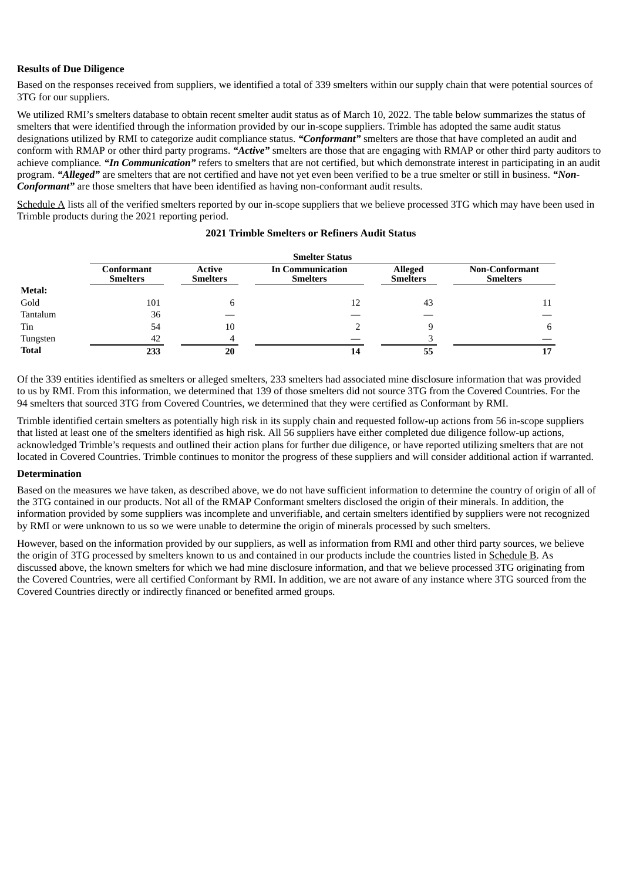## **Results of Due Diligence**

Based on the responses received from suppliers, we identified a total of 339 smelters within our supply chain that were potential sources of 3TG for our suppliers.

We utilized RMI's smelters database to obtain recent smelter audit status as of March 10, 2022. The table below summarizes the status of smelters that were identified through the information provided by our in-scope suppliers. Trimble has adopted the same audit status designations utilized by RMI to categorize audit compliance status. *"Conformant"* smelters are those that have completed an audit and conform with RMAP or other third party programs. *"Active"* smelters are those that are engaging with RMAP or other third party auditors to achieve compliance*. "In Communication"* refers to smelters that are not certified, but which demonstrate interest in participating in an audit program. *"Alleged"* are smelters that are not certified and have not yet even been verified to be a true smelter or still in business. *"Non-Conformant"* are those smelters that have been identified as having non-conformant audit results.

Schedule A lists all of the verified smelters reported by our in-scope suppliers that we believe processed 3TG which may have been used in Trimble products during the 2021 reporting period.

|              | <b>Smelter Status</b>         |                           |                                            |                                   |                                          |
|--------------|-------------------------------|---------------------------|--------------------------------------------|-----------------------------------|------------------------------------------|
|              | Conformant<br><b>Smelters</b> | Active<br><b>Smelters</b> | <b>In Communication</b><br><b>Smelters</b> | <b>Alleged</b><br><b>Smelters</b> | <b>Non-Conformant</b><br><b>Smelters</b> |
| Metal:       |                               |                           |                                            |                                   |                                          |
| Gold         | 101                           |                           | 12                                         | 43                                | 11                                       |
| Tantalum     | 36                            |                           |                                            |                                   |                                          |
| Tin          | 54                            | 10                        |                                            |                                   |                                          |
| Tungsten     | 42                            |                           |                                            |                                   |                                          |
| <b>Total</b> | 233                           | 20                        | 14                                         | 55                                |                                          |

## **2021 Trimble Smelters or Refiners Audit Status**

Of the 339 entities identified as smelters or alleged smelters, 233 smelters had associated mine disclosure information that was provided to us by RMI. From this information, we determined that 139 of those smelters did not source 3TG from the Covered Countries. For the 94 smelters that sourced 3TG from Covered Countries, we determined that they were certified as Conformant by RMI.

Trimble identified certain smelters as potentially high risk in its supply chain and requested follow-up actions from 56 in-scope suppliers that listed at least one of the smelters identified as high risk. All 56 suppliers have either completed due diligence follow-up actions, acknowledged Trimble's requests and outlined their action plans for further due diligence, or have reported utilizing smelters that are not located in Covered Countries. Trimble continues to monitor the progress of these suppliers and will consider additional action if warranted.

#### **Determination**

Based on the measures we have taken, as described above, we do not have sufficient information to determine the country of origin of all of the 3TG contained in our products. Not all of the RMAP Conformant smelters disclosed the origin of their minerals. In addition, the information provided by some suppliers was incomplete and unverifiable, and certain smelters identified by suppliers were not recognized by RMI or were unknown to us so we were unable to determine the origin of minerals processed by such smelters.

However, based on the information provided by our suppliers, as well as information from RMI and other third party sources, we believe the origin of 3TG processed by smelters known to us and contained in our products include the countries listed in Schedule B. As discussed above, the known smelters for which we had mine disclosure information, and that we believe processed 3TG originating from the Covered Countries, were all certified Conformant by RMI. In addition, we are not aware of any instance where 3TG sourced from the Covered Countries directly or indirectly financed or benefited armed groups.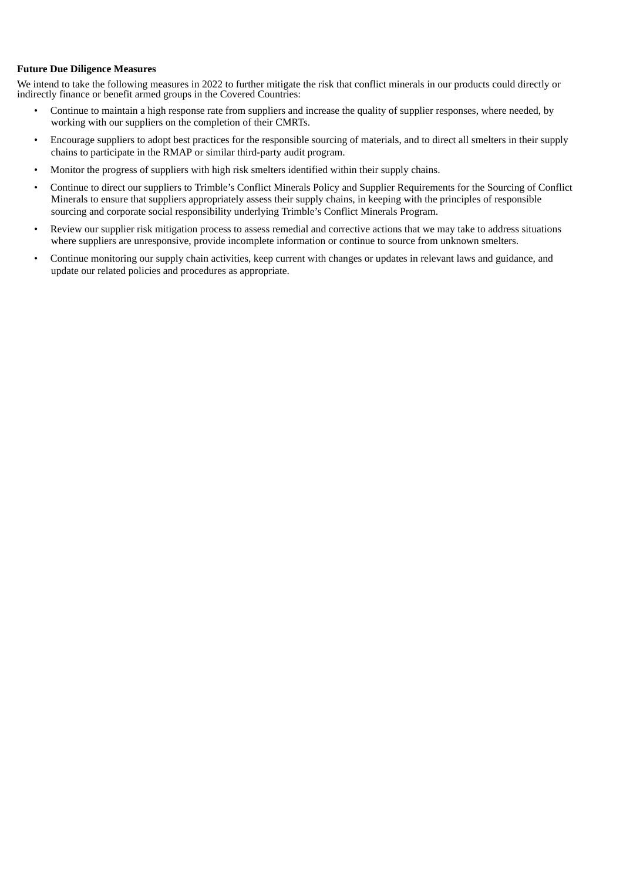## **Future Due Diligence Measures**

We intend to take the following measures in 2022 to further mitigate the risk that conflict minerals in our products could directly or indirectly finance or benefit armed groups in the Covered Countries:

- Continue to maintain a high response rate from suppliers and increase the quality of supplier responses, where needed, by working with our suppliers on the completion of their CMRTs.
- Encourage suppliers to adopt best practices for the responsible sourcing of materials, and to direct all smelters in their supply chains to participate in the RMAP or similar third-party audit program.
- Monitor the progress of suppliers with high risk smelters identified within their supply chains.
- Continue to direct our suppliers to Trimble's Conflict Minerals Policy and Supplier Requirements for the Sourcing of Conflict Minerals to ensure that suppliers appropriately assess their supply chains, in keeping with the principles of responsible sourcing and corporate social responsibility underlying Trimble's Conflict Minerals Program.
- Review our supplier risk mitigation process to assess remedial and corrective actions that we may take to address situations where suppliers are unresponsive, provide incomplete information or continue to source from unknown smelters.
- Continue monitoring our supply chain activities, keep current with changes or updates in relevant laws and guidance, and update our related policies and procedures as appropriate.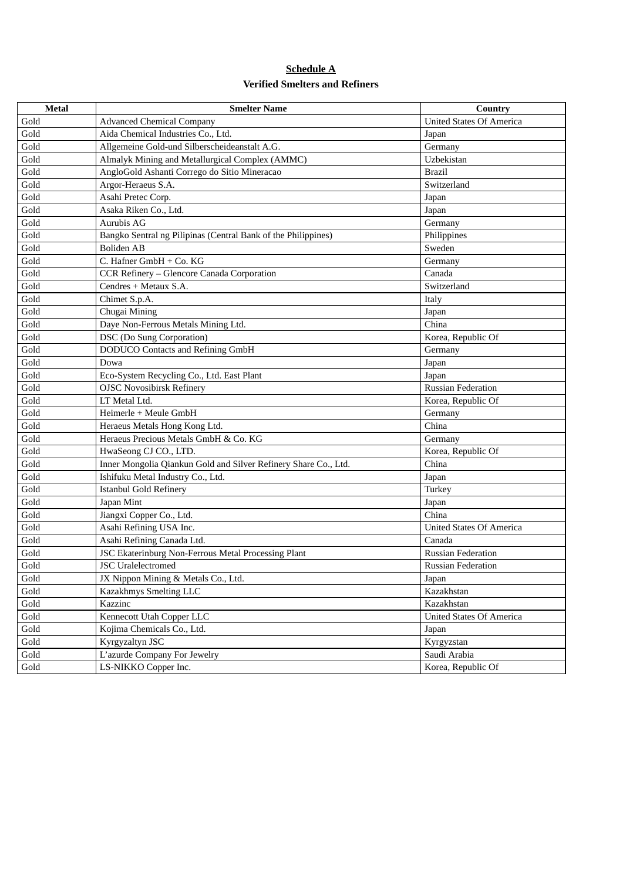# **Schedule A Verified Smelters and Refiners**

| <b>Metal</b> | <b>Smelter Name</b>                                             | Country                         |
|--------------|-----------------------------------------------------------------|---------------------------------|
| Gold         | <b>Advanced Chemical Company</b>                                | <b>United States Of America</b> |
| Gold         | Aida Chemical Industries Co., Ltd.                              | Japan                           |
| Gold         | Allgemeine Gold-und Silberscheideanstalt A.G.                   | Germany                         |
| Gold         | Almalyk Mining and Metallurgical Complex (AMMC)                 | Uzbekistan                      |
| Gold         | AngloGold Ashanti Corrego do Sitio Mineracao                    | <b>Brazil</b>                   |
| Gold         | Argor-Heraeus S.A.                                              | Switzerland                     |
| Gold         | Asahi Pretec Corp.                                              | Japan                           |
| Gold         | Asaka Riken Co., Ltd.                                           | Japan                           |
| Gold         | Aurubis AG                                                      | Germany                         |
| Gold         | Bangko Sentral ng Pilipinas (Central Bank of the Philippines)   | Philippines                     |
| Gold         | <b>Boliden AB</b>                                               | Sweden                          |
| Gold         | C. Hafner GmbH + Co. KG                                         | Germany                         |
| Gold         | CCR Refinery - Glencore Canada Corporation                      | Canada                          |
| Gold         | Cendres + Metaux S.A.                                           | Switzerland                     |
| Gold         | Chimet S.p.A.                                                   | Italy                           |
| Gold         | Chugai Mining                                                   | Japan                           |
| Gold         | Daye Non-Ferrous Metals Mining Ltd.                             | China                           |
| Gold         | DSC (Do Sung Corporation)                                       | Korea, Republic Of              |
| Gold         | DODUCO Contacts and Refining GmbH                               | Germany                         |
| Gold         | Dowa                                                            | Japan                           |
| Gold         | Eco-System Recycling Co., Ltd. East Plant                       | Japan                           |
| Gold         | <b>OJSC Novosibirsk Refinery</b>                                | <b>Russian Federation</b>       |
| Gold         | LT Metal Ltd.                                                   | Korea, Republic Of              |
| Gold         | Heimerle + Meule GmbH                                           | Germany                         |
| Gold         | Heraeus Metals Hong Kong Ltd.                                   | China                           |
| Gold         | Heraeus Precious Metals GmbH & Co. KG                           | Germany                         |
| Gold         | HwaSeong CJ CO., LTD.                                           | Korea, Republic Of              |
| Gold         | Inner Mongolia Qiankun Gold and Silver Refinery Share Co., Ltd. | China                           |
| Gold         | Ishifuku Metal Industry Co., Ltd.                               | Japan                           |
| Gold         | <b>Istanbul Gold Refinery</b>                                   | Turkey                          |
| Gold         | Japan Mint                                                      | Japan                           |
| Gold         | Jiangxi Copper Co., Ltd.                                        | China                           |
| Gold         | Asahi Refining USA Inc.                                         | <b>United States Of America</b> |
| Gold         | Asahi Refining Canada Ltd.                                      | Canada                          |
| Gold         | <b>JSC Ekaterinburg Non-Ferrous Metal Processing Plant</b>      | <b>Russian Federation</b>       |
| Gold         | <b>JSC</b> Uralelectromed                                       | <b>Russian Federation</b>       |
| Gold         | JX Nippon Mining & Metals Co., Ltd.                             | Japan                           |
| Gold         | Kazakhmys Smelting LLC                                          | Kazakhstan                      |
| Gold         | Kazzinc                                                         | Kazakhstan                      |
| Gold         | Kennecott Utah Copper LLC                                       | <b>United States Of America</b> |
| Gold         | Kojima Chemicals Co., Ltd.                                      | Japan                           |
| Gold         | Kyrgyzaltyn JSC                                                 | Kyrgyzstan                      |
| Gold         | L'azurde Company For Jewelry                                    | Saudi Arabia                    |
| Gold         | LS-NIKKO Copper Inc.                                            | Korea, Republic Of              |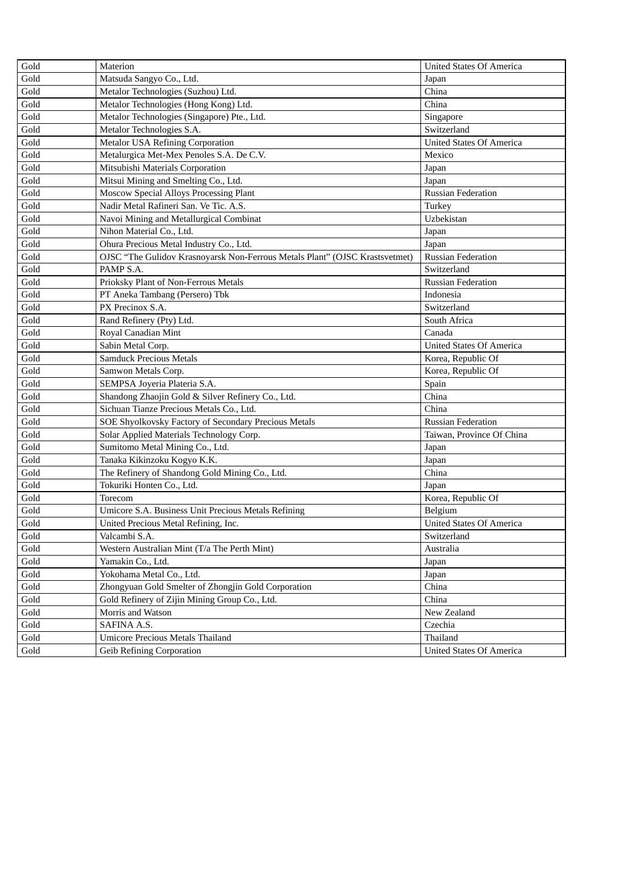| Gold                  | Materion                                                                    | <b>United States Of America</b> |
|-----------------------|-----------------------------------------------------------------------------|---------------------------------|
| $\operatorname{Gold}$ | Matsuda Sangyo Co., Ltd.                                                    | Japan                           |
| Gold                  | Metalor Technologies (Suzhou) Ltd.                                          | China                           |
| Gold                  | Metalor Technologies (Hong Kong) Ltd.                                       | China                           |
| Gold                  | Metalor Technologies (Singapore) Pte., Ltd.                                 | Singapore                       |
| Gold                  | Metalor Technologies S.A.                                                   | Switzerland                     |
| Gold                  | <b>Metalor USA Refining Corporation</b>                                     | <b>United States Of America</b> |
| Gold                  | Metalurgica Met-Mex Penoles S.A. De C.V.                                    | Mexico                          |
| Gold                  | Mitsubishi Materials Corporation                                            | Japan                           |
| Gold                  | Mitsui Mining and Smelting Co., Ltd.                                        | Japan                           |
| Gold                  | Moscow Special Alloys Processing Plant                                      | <b>Russian Federation</b>       |
| Gold                  | Nadir Metal Rafineri San. Ve Tic. A.S.                                      | Turkey                          |
| Gold                  | Navoi Mining and Metallurgical Combinat                                     | Uzbekistan                      |
| Gold                  | Nihon Material Co., Ltd.                                                    | Japan                           |
| Gold                  | Ohura Precious Metal Industry Co., Ltd.                                     | Japan                           |
| Gold                  | OJSC "The Gulidov Krasnoyarsk Non-Ferrous Metals Plant" (OJSC Krastsvetmet) | <b>Russian Federation</b>       |
| Gold                  | PAMP S.A.                                                                   | Switzerland                     |
| Gold                  | Prioksky Plant of Non-Ferrous Metals                                        | <b>Russian Federation</b>       |
| Gold                  | PT Aneka Tambang (Persero) Tbk                                              | Indonesia                       |
| Gold                  | PX Precinox S.A.                                                            | Switzerland                     |
| Gold                  | Rand Refinery (Pty) Ltd.                                                    | South Africa                    |
| Gold                  | Royal Canadian Mint                                                         | Canada                          |
| Gold                  | Sabin Metal Corp.                                                           | <b>United States Of America</b> |
| Gold                  | <b>Samduck Precious Metals</b>                                              | Korea, Republic Of              |
| Gold                  | Samwon Metals Corp.                                                         | Korea, Republic Of              |
| Gold                  | SEMPSA Joyeria Plateria S.A.                                                | Spain                           |
| Gold                  | Shandong Zhaojin Gold & Silver Refinery Co., Ltd.                           | China                           |
| Gold                  | Sichuan Tianze Precious Metals Co., Ltd.                                    | China                           |
| Gold                  | SOE Shyolkovsky Factory of Secondary Precious Metals                        | <b>Russian Federation</b>       |
| Gold                  | Solar Applied Materials Technology Corp.                                    | Taiwan, Province Of China       |
| Gold                  | Sumitomo Metal Mining Co., Ltd.                                             | Japan                           |
| Gold                  | Tanaka Kikinzoku Kogyo K.K.                                                 | Japan                           |
| Gold                  | The Refinery of Shandong Gold Mining Co., Ltd.                              | China                           |
| Gold                  | Tokuriki Honten Co., Ltd.                                                   | Japan                           |
| Gold                  | Torecom                                                                     | Korea, Republic Of              |
| Gold                  | Umicore S.A. Business Unit Precious Metals Refining                         | Belgium                         |
| Gold                  | United Precious Metal Refining, Inc.                                        | <b>United States Of America</b> |
| $\operatorname{Gold}$ | Valcambi S.A.                                                               | Switzerland                     |
| Gold                  | Western Australian Mint (T/a The Perth Mint)                                | Australia                       |
| $\operatorname{Gold}$ | Yamakin Co., Ltd.                                                           | Japan                           |
| $\operatorname{Gold}$ | Yokohama Metal Co., Ltd.                                                    | Japan                           |
| $\operatorname{Gold}$ | Zhongyuan Gold Smelter of Zhongjin Gold Corporation                         | China                           |
| $\operatorname{Gold}$ | Gold Refinery of Zijin Mining Group Co., Ltd.                               | China                           |
| Gold                  | Morris and Watson                                                           | New Zealand                     |
| Gold                  | SAFINA A.S.                                                                 | Czechia                         |
| Gold                  | <b>Umicore Precious Metals Thailand</b>                                     | Thailand                        |
| Gold                  | <b>Geib Refining Corporation</b>                                            | <b>United States Of America</b> |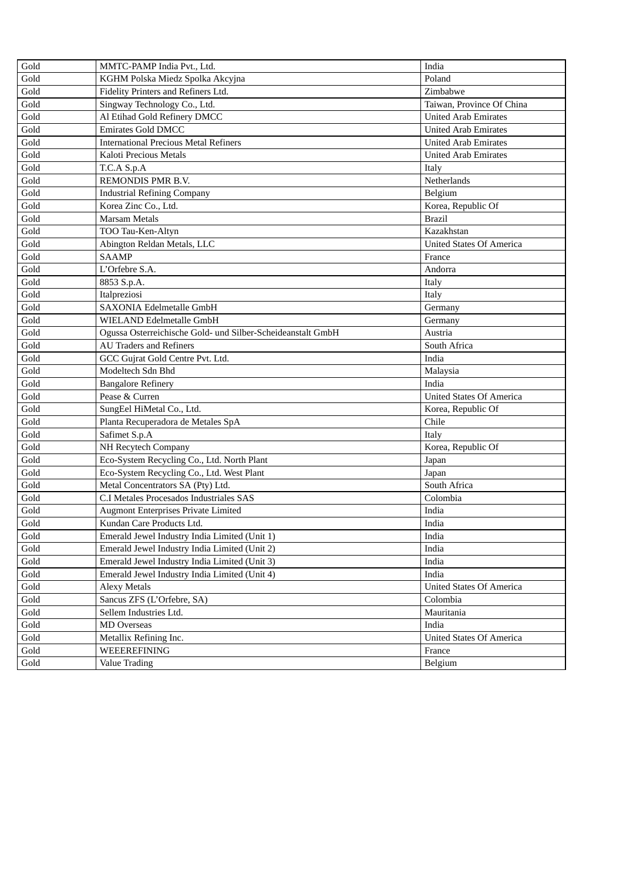| Gold | MMTC-PAMP India Pvt., Ltd.                                  | India                           |
|------|-------------------------------------------------------------|---------------------------------|
| Gold | KGHM Polska Miedz Spolka Akcyjna                            | Poland                          |
| Gold | Fidelity Printers and Refiners Ltd.                         | Zimbabwe                        |
| Gold | Singway Technology Co., Ltd.                                | Taiwan, Province Of China       |
| Gold | Al Etihad Gold Refinery DMCC                                | <b>United Arab Emirates</b>     |
| Gold | Emirates Gold DMCC                                          | <b>United Arab Emirates</b>     |
| Gold | <b>International Precious Metal Refiners</b>                | <b>United Arab Emirates</b>     |
| Gold | Kaloti Precious Metals                                      | <b>United Arab Emirates</b>     |
| Gold | T.C.A S.p.A                                                 | Italy                           |
| Gold | REMONDIS PMR B.V.                                           | Netherlands                     |
| Gold | <b>Industrial Refining Company</b>                          | Belgium                         |
| Gold | Korea Zinc Co., Ltd.                                        | Korea, Republic Of              |
| Gold | <b>Marsam Metals</b>                                        | <b>Brazil</b>                   |
| Gold | TOO Tau-Ken-Altyn                                           | Kazakhstan                      |
| Gold | Abington Reldan Metals, LLC                                 | <b>United States Of America</b> |
| Gold | <b>SAAMP</b>                                                | France                          |
| Gold | L'Orfebre S.A.                                              | Andorra                         |
| Gold | 8853 S.p.A.                                                 | Italy                           |
| Gold | Italpreziosi                                                | Italy                           |
| Gold | <b>SAXONIA Edelmetalle GmbH</b>                             | Germany                         |
| Gold | WIELAND Edelmetalle GmbH                                    | Germany                         |
| Gold | Ogussa Osterreichische Gold- und Silber-Scheideanstalt GmbH | Austria                         |
| Gold | <b>AU Traders and Refiners</b>                              | South Africa                    |
| Gold | GCC Gujrat Gold Centre Pvt. Ltd.                            | India                           |
| Gold | Modeltech Sdn Bhd                                           | Malaysia                        |
| Gold | <b>Bangalore Refinery</b>                                   | India                           |
| Gold | Pease & Curren                                              | <b>United States Of America</b> |
| Gold | SungEel HiMetal Co., Ltd.                                   | Korea, Republic Of              |
| Gold | Planta Recuperadora de Metales SpA                          | Chile                           |
| Gold | Safimet S.p.A                                               | Italy                           |
| Gold | NH Recytech Company                                         | Korea, Republic Of              |
| Gold | Eco-System Recycling Co., Ltd. North Plant                  | Japan                           |
| Gold | Eco-System Recycling Co., Ltd. West Plant                   | Japan                           |
| Gold | Metal Concentrators SA (Pty) Ltd.                           | South Africa                    |
| Gold | C.I Metales Procesados Industriales SAS                     | Colombia                        |
| Gold | <b>Augmont Enterprises Private Limited</b>                  | India                           |
| Gold | Kundan Care Products Ltd.                                   | India                           |
| Gold | Emerald Jewel Industry India Limited (Unit 1)               | India                           |
| Gold | Emerald Jewel Industry India Limited (Unit 2)               | India                           |
| Gold | Emerald Jewel Industry India Limited (Unit 3)               | India                           |
| Gold | Emerald Jewel Industry India Limited (Unit 4)               | India                           |
| Gold | <b>Alexy Metals</b>                                         | <b>United States Of America</b> |
| Gold | Sancus ZFS (L'Orfebre, SA)                                  | Colombia                        |
| Gold | Sellem Industries Ltd.                                      | Mauritania                      |
| Gold | <b>MD</b> Overseas                                          | India                           |
| Gold | Metallix Refining Inc.                                      | <b>United States Of America</b> |
| Gold | WEEEREFINING                                                | France                          |
| Gold | <b>Value Trading</b>                                        | Belgium                         |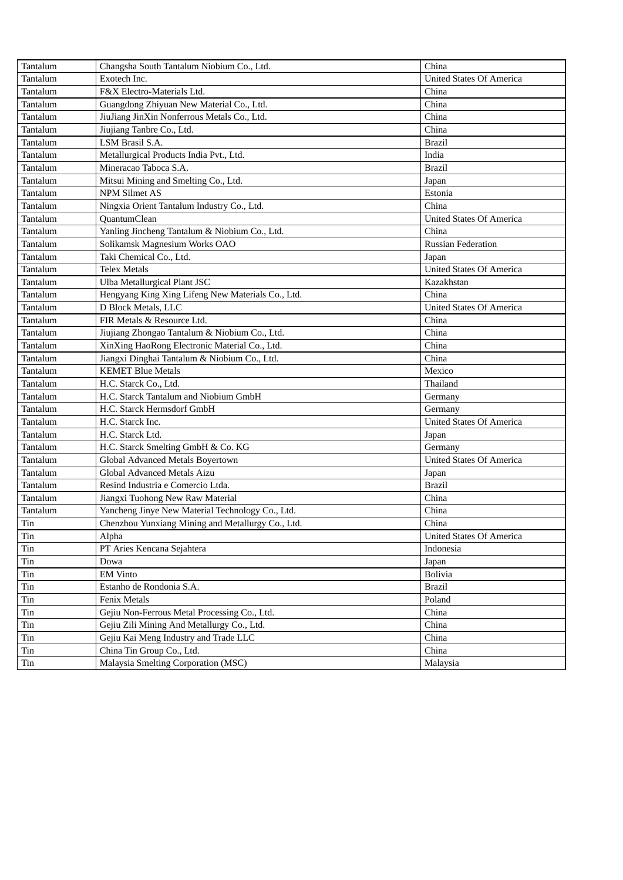| Tantalum     | Changsha South Tantalum Niobium Co., Ltd.         | China                           |
|--------------|---------------------------------------------------|---------------------------------|
| Tantalum     | Exotech Inc.                                      | <b>United States Of America</b> |
| Tantalum     | F&X Electro-Materials Ltd.                        | China                           |
| Tantalum     | Guangdong Zhiyuan New Material Co., Ltd.          | China                           |
| Tantalum     | JiuJiang JinXin Nonferrous Metals Co., Ltd.       | China                           |
| Tantalum     | Jiujiang Tanbre Co., Ltd.                         | China                           |
| Tantalum     | LSM Brasil S.A.                                   | <b>Brazil</b>                   |
| Tantalum     | Metallurgical Products India Pvt., Ltd.           | India                           |
| Tantalum     | Mineracao Taboca S.A.                             | <b>Brazil</b>                   |
| Tantalum     | Mitsui Mining and Smelting Co., Ltd.              | Japan                           |
| Tantalum     | <b>NPM Silmet AS</b>                              | Estonia                         |
| Tantalum     | Ningxia Orient Tantalum Industry Co., Ltd.        | China                           |
| Tantalum     | QuantumClean                                      | <b>United States Of America</b> |
| Tantalum     | Yanling Jincheng Tantalum & Niobium Co., Ltd.     | China                           |
| Tantalum     | Solikamsk Magnesium Works OAO                     | <b>Russian Federation</b>       |
| Tantalum     | Taki Chemical Co., Ltd.                           | Japan                           |
| Tantalum     | <b>Telex Metals</b>                               | <b>United States Of America</b> |
| Tantalum     | Ulba Metallurgical Plant JSC                      | Kazakhstan                      |
| Tantalum     | Hengyang King Xing Lifeng New Materials Co., Ltd. | China                           |
| Tantalum     | D Block Metals, LLC                               | <b>United States Of America</b> |
| Tantalum     | FIR Metals & Resource Ltd.                        | China                           |
| Tantalum     | Jiujiang Zhongao Tantalum & Niobium Co., Ltd.     | China                           |
| Tantalum     | XinXing HaoRong Electronic Material Co., Ltd.     | China                           |
| Tantalum     | Jiangxi Dinghai Tantalum & Niobium Co., Ltd.      | China                           |
| Tantalum     | <b>KEMET Blue Metals</b>                          | Mexico                          |
| Tantalum     | H.C. Starck Co., Ltd.                             | Thailand                        |
| Tantalum     | H.C. Starck Tantalum and Niobium GmbH             | Germany                         |
| Tantalum     | H.C. Starck Hermsdorf GmbH                        | Germany                         |
| Tantalum     | H.C. Starck Inc.                                  | <b>United States Of America</b> |
| Tantalum     | H.C. Starck Ltd.                                  | Japan                           |
| Tantalum     | H.C. Starck Smelting GmbH & Co. KG                | Germany                         |
| Tantalum     | Global Advanced Metals Boyertown                  | <b>United States Of America</b> |
| Tantalum     | Global Advanced Metals Aizu                       | Japan                           |
| Tantalum     | Resind Industria e Comercio Ltda.                 | <b>Brazil</b>                   |
| Tantalum     | Jiangxi Tuohong New Raw Material                  | China                           |
| Tantalum     | Yancheng Jinye New Material Technology Co., Ltd.  | China                           |
| Tin          | Chenzhou Yunxiang Mining and Metallurgy Co., Ltd. | China                           |
| Tin          | Alpha                                             | <b>United States Of America</b> |
| Tin          | PT Aries Kencana Sejahtera                        | Indonesia                       |
| $\rm \, Tin$ | Dowa                                              | Japan                           |
| $\rm \, Tin$ | <b>EM Vinto</b>                                   | <b>Bolivia</b>                  |
| $\rm \, Tin$ | Estanho de Rondonia S.A.                          | <b>Brazil</b>                   |
| $\rm \, Tin$ | <b>Fenix Metals</b>                               | Poland                          |
| $\rm \, Tin$ | Gejiu Non-Ferrous Metal Processing Co., Ltd.      | China                           |
| Tin          | Gejiu Zili Mining And Metallurgy Co., Ltd.        | China                           |
| Tin          | Gejiu Kai Meng Industry and Trade LLC             | China                           |
| $\rm \, Tin$ | China Tin Group Co., Ltd.                         | China                           |
| Tin          | Malaysia Smelting Corporation (MSC)               | Malaysia                        |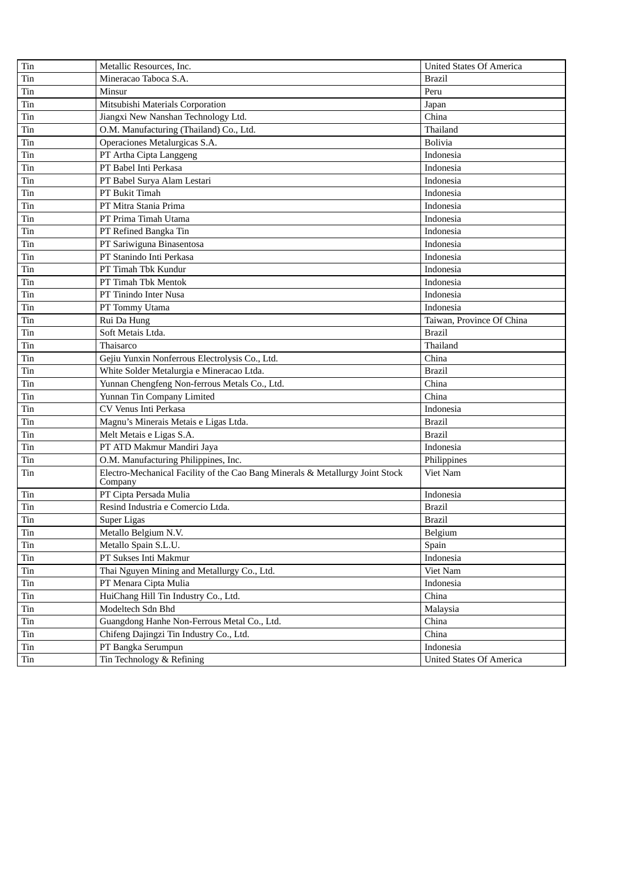| Tin | Metallic Resources, Inc.                                                                 | <b>United States Of America</b> |
|-----|------------------------------------------------------------------------------------------|---------------------------------|
| Tin | Mineracao Taboca S.A.                                                                    | <b>Brazil</b>                   |
| Tin | Minsur                                                                                   | Peru                            |
| Tin | Mitsubishi Materials Corporation                                                         | Japan                           |
| Tin | Jiangxi New Nanshan Technology Ltd.                                                      | China                           |
| Tin | O.M. Manufacturing (Thailand) Co., Ltd.                                                  | Thailand                        |
| Tin | Operaciones Metalurgicas S.A.                                                            | <b>Bolivia</b>                  |
| Tin | PT Artha Cipta Langgeng                                                                  | Indonesia                       |
| Tin | PT Babel Inti Perkasa                                                                    | Indonesia                       |
| Tin | PT Babel Surya Alam Lestari                                                              | Indonesia                       |
| Tin | PT Bukit Timah                                                                           | Indonesia                       |
| Tin | PT Mitra Stania Prima                                                                    | Indonesia                       |
| Tin | PT Prima Timah Utama                                                                     | Indonesia                       |
| Tin | PT Refined Bangka Tin                                                                    | Indonesia                       |
| Tin | PT Sariwiguna Binasentosa                                                                | Indonesia                       |
| Tin | PT Stanindo Inti Perkasa                                                                 | Indonesia                       |
| Tin | PT Timah Tbk Kundur                                                                      | Indonesia                       |
| Tin | PT Timah Tbk Mentok                                                                      | Indonesia                       |
| Tin | PT Tinindo Inter Nusa                                                                    | Indonesia                       |
| Tin | PT Tommy Utama                                                                           | Indonesia                       |
| Tin | Rui Da Hung                                                                              | Taiwan, Province Of China       |
| Tin | Soft Metais Ltda.                                                                        | <b>Brazil</b>                   |
| Tin | Thaisarco                                                                                | Thailand                        |
| Tin | Gejiu Yunxin Nonferrous Electrolysis Co., Ltd.                                           | China                           |
| Tin | White Solder Metalurgia e Mineracao Ltda.                                                | <b>Brazil</b>                   |
| Tin | Yunnan Chengfeng Non-ferrous Metals Co., Ltd.                                            | China                           |
| Tin | Yunnan Tin Company Limited                                                               | China                           |
| Tin | CV Venus Inti Perkasa                                                                    | Indonesia                       |
| Tin | Magnu's Minerais Metais e Ligas Ltda.                                                    | <b>Brazil</b>                   |
| Tin | Melt Metais e Ligas S.A.                                                                 | <b>Brazil</b>                   |
| Tin | PT ATD Makmur Mandiri Jaya                                                               | Indonesia                       |
| Tin | O.M. Manufacturing Philippines, Inc.                                                     | Philippines                     |
| Tin | Electro-Mechanical Facility of the Cao Bang Minerals & Metallurgy Joint Stock<br>Company | Viet Nam                        |
| Tin | PT Cipta Persada Mulia                                                                   | Indonesia                       |
| Tin | Resind Industria e Comercio Ltda.                                                        | <b>Brazil</b>                   |
| Tin | Super Ligas                                                                              | <b>Brazil</b>                   |
| Tin | Metallo Belgium N.V.                                                                     | Belgium                         |
| Tin | Metallo Spain S.L.U.                                                                     | Spain                           |
| Tin | PT Sukses Inti Makmur                                                                    | Indonesia                       |
| Tin | Thai Nguyen Mining and Metallurgy Co., Ltd.                                              | Viet Nam                        |
| Tin | PT Menara Cipta Mulia                                                                    | Indonesia                       |
| Tin | HuiChang Hill Tin Industry Co., Ltd.                                                     | China                           |
| Tin | Modeltech Sdn Bhd                                                                        | Malaysia                        |
| Tin | Guangdong Hanhe Non-Ferrous Metal Co., Ltd.                                              | China                           |
| Tin | Chifeng Dajingzi Tin Industry Co., Ltd.                                                  | China                           |
| Tin | PT Bangka Serumpun                                                                       | Indonesia                       |
| Tin | Tin Technology & Refining                                                                | <b>United States Of America</b> |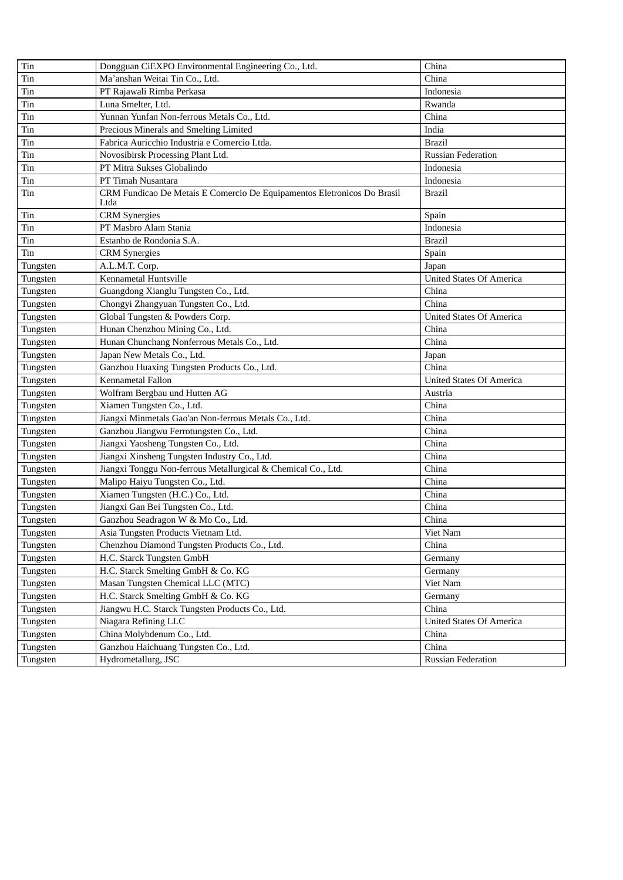| Tin      | Dongguan CiEXPO Environmental Engineering Co., Ltd.                             | China                           |
|----------|---------------------------------------------------------------------------------|---------------------------------|
| Tin      | Ma'anshan Weitai Tin Co., Ltd.                                                  | China                           |
| Tin      | PT Rajawali Rimba Perkasa                                                       | Indonesia                       |
| Tin      | Luna Smelter, Ltd.                                                              | Rwanda                          |
| Tin      | Yunnan Yunfan Non-ferrous Metals Co., Ltd.                                      | China                           |
| Tin      | Precious Minerals and Smelting Limited                                          | India                           |
| Tin      | Fabrica Auricchio Industria e Comercio Ltda.                                    | <b>Brazil</b>                   |
| Tin      | Novosibirsk Processing Plant Ltd.                                               | <b>Russian Federation</b>       |
| Tin      | PT Mitra Sukses Globalindo                                                      | Indonesia                       |
| Tin      | PT Timah Nusantara                                                              | Indonesia                       |
| Tin      | CRM Fundicao De Metais E Comercio De Equipamentos Eletronicos Do Brasil<br>Ltda | <b>Brazil</b>                   |
| Tin      | <b>CRM</b> Synergies                                                            | Spain                           |
| Tin      | PT Masbro Alam Stania                                                           | Indonesia                       |
| Tin      | Estanho de Rondonia S.A.                                                        | <b>Brazil</b>                   |
| Tin      | <b>CRM</b> Synergies                                                            | Spain                           |
| Tungsten | A.L.M.T. Corp.                                                                  | Japan                           |
| Tungsten | Kennametal Huntsville                                                           | <b>United States Of America</b> |
| Tungsten | Guangdong Xianglu Tungsten Co., Ltd.                                            | China                           |
| Tungsten | Chongyi Zhangyuan Tungsten Co., Ltd.                                            | China                           |
| Tungsten | Global Tungsten & Powders Corp.                                                 | <b>United States Of America</b> |
| Tungsten | Hunan Chenzhou Mining Co., Ltd.                                                 | China                           |
| Tungsten | Hunan Chunchang Nonferrous Metals Co., Ltd.                                     | China                           |
| Tungsten | Japan New Metals Co., Ltd.                                                      | Japan                           |
| Tungsten | Ganzhou Huaxing Tungsten Products Co., Ltd.                                     | China                           |
| Tungsten | Kennametal Fallon                                                               | <b>United States Of America</b> |
| Tungsten | Wolfram Bergbau und Hutten AG                                                   | Austria                         |
| Tungsten | Xiamen Tungsten Co., Ltd.                                                       | China                           |
| Tungsten | Jiangxi Minmetals Gao'an Non-ferrous Metals Co., Ltd.                           | China                           |
| Tungsten | Ganzhou Jiangwu Ferrotungsten Co., Ltd.                                         | China                           |
| Tungsten | Jiangxi Yaosheng Tungsten Co., Ltd.                                             | China                           |
| Tungsten | Jiangxi Xinsheng Tungsten Industry Co., Ltd.                                    | China                           |
| Tungsten | Jiangxi Tonggu Non-ferrous Metallurgical & Chemical Co., Ltd.                   | China                           |
| Tungsten | Malipo Haiyu Tungsten Co., Ltd.                                                 | China                           |
| Tungsten | Xiamen Tungsten (H.C.) Co., Ltd.                                                | China                           |
| Tungsten | Jiangxi Gan Bei Tungsten Co., Ltd.                                              | China                           |
| Tungsten | Ganzhou Seadragon W & Mo Co., Ltd.                                              | China                           |
| Tungsten | Asia Tungsten Products Vietnam Ltd.                                             | Viet Nam                        |
| Tungsten | Chenzhou Diamond Tungsten Products Co., Ltd.                                    | China                           |
| Tungsten | H.C. Starck Tungsten GmbH                                                       | Germany                         |
| Tungsten | H.C. Starck Smelting GmbH & Co. KG                                              | Germany                         |
| Tungsten | Masan Tungsten Chemical LLC (MTC)                                               | Viet Nam                        |
| Tungsten | H.C. Starck Smelting GmbH & Co. KG                                              | Germany                         |
| Tungsten | Jiangwu H.C. Starck Tungsten Products Co., Ltd.                                 | China                           |
| Tungsten | Niagara Refining LLC                                                            | <b>United States Of America</b> |
| Tungsten | China Molybdenum Co., Ltd.                                                      | China                           |
| Tungsten | Ganzhou Haichuang Tungsten Co., Ltd.                                            | China                           |
| Tungsten | Hydrometallurg, JSC                                                             | <b>Russian Federation</b>       |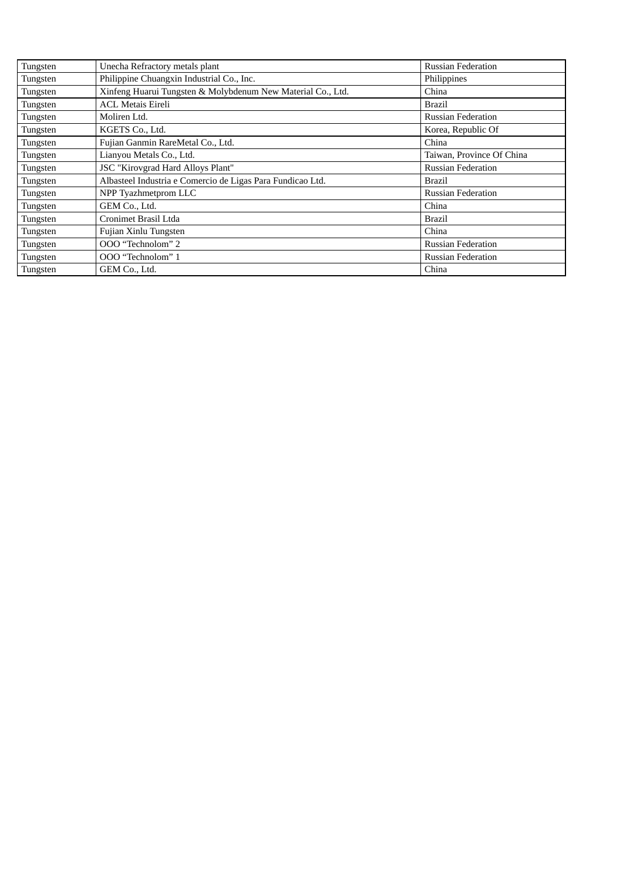| Tungsten | Unecha Refractory metals plant                              | <b>Russian Federation</b> |
|----------|-------------------------------------------------------------|---------------------------|
| Tungsten | Philippine Chuangxin Industrial Co., Inc.                   | Philippines               |
| Tungsten | Xinfeng Huarui Tungsten & Molybdenum New Material Co., Ltd. | China                     |
| Tungsten | <b>ACL Metais Eireli</b>                                    | <b>Brazil</b>             |
| Tungsten | Moliren Ltd.                                                | <b>Russian Federation</b> |
| Tungsten | KGETS Co., Ltd.                                             | Korea, Republic Of        |
| Tungsten | Fujian Ganmin RareMetal Co., Ltd.                           | China                     |
| Tungsten | Lianyou Metals Co., Ltd.                                    | Taiwan, Province Of China |
| Tungsten | JSC "Kirovgrad Hard Alloys Plant"                           | <b>Russian Federation</b> |
| Tungsten | Albasteel Industria e Comercio de Ligas Para Fundicao Ltd.  | <b>Brazil</b>             |
| Tungsten | NPP Tyazhmetprom LLC                                        | <b>Russian Federation</b> |
| Tungsten | GEM Co., Ltd.                                               | China                     |
| Tungsten | Cronimet Brasil Ltda                                        | <b>Brazil</b>             |
| Tungsten | Fujian Xinlu Tungsten                                       | China                     |
| Tungsten | OOO "Technolom" 2                                           | <b>Russian Federation</b> |
| Tungsten | OOO "Technolom" 1                                           | <b>Russian Federation</b> |
| Tungsten | GEM Co., Ltd.                                               | China                     |